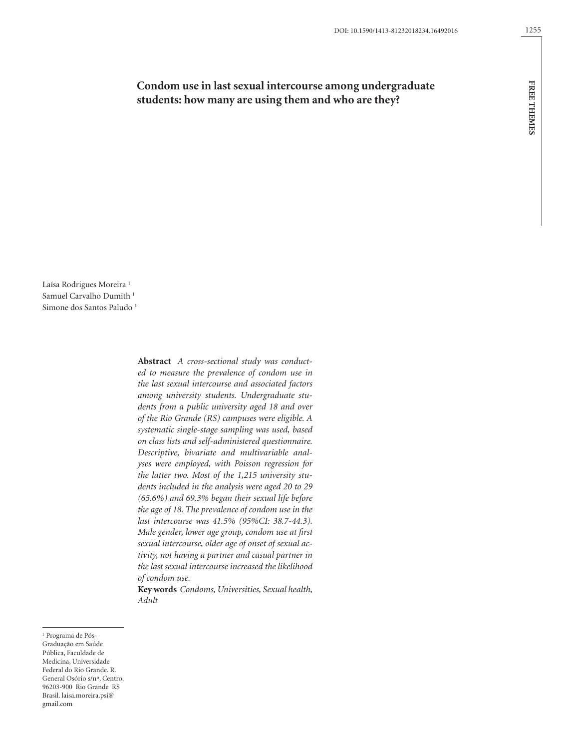# **Condom use in last sexual intercourse among undergraduate students: how many are using them and who are they?**

Laísa Rodrigues Moreira<sup>1</sup> Samuel Carvalho Dumith<sup>1</sup> Simone dos Santos Paludo<sup>1</sup>

> **Abstract** *A cross-sectional study was conducted to measure the prevalence of condom use in the last sexual intercourse and associated factors among university students. Undergraduate students from a public university aged 18 and over of the Rio Grande (RS) campuses were eligible. A systematic single-stage sampling was used, based on class lists and self-administered questionnaire. Descriptive, bivariate and multivariable analyses were employed, with Poisson regression for the latter two. Most of the 1,215 university students included in the analysis were aged 20 to 29 (65.6%) and 69.3% began their sexual life before the age of 18. The prevalence of condom use in the last intercourse was 41.5% (95%CI: 38.7-44.3). Male gender, lower age group, condom use at first sexual intercourse, older age of onset of sexual activity, not having a partner and casual partner in the last sexual intercourse increased the likelihood of condom use.*

> **Key words** *Condoms, Universities, Sexual health, Adult*

<sup>1</sup> Programa de Pós-Graduação em Saúde Pública, Faculdade de Medicina, Universidade Federal do Rio Grande. R. General Osório s/nº, Centro. 96203-900 Rio Grande RS Brasil. laisa.moreira.psi@ gmail.com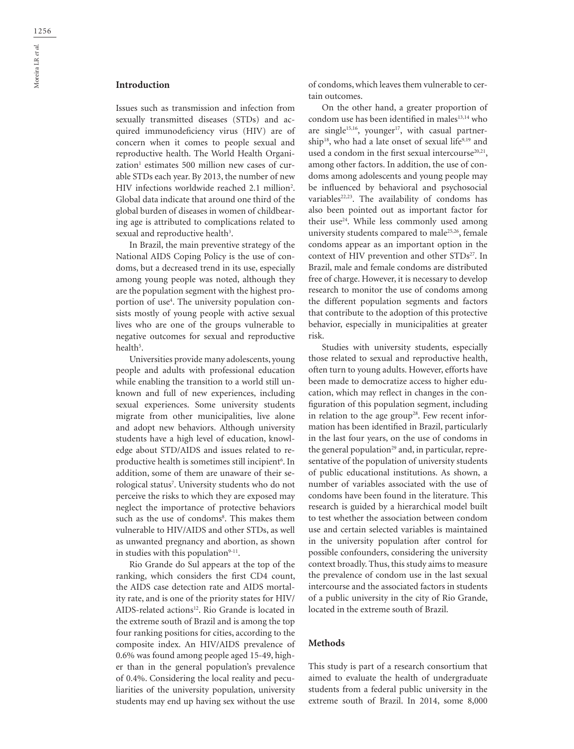## **Introduction**

Issues such as transmission and infection from sexually transmitted diseases (STDs) and acquired immunodeficiency virus (HIV) are of concern when it comes to people sexual and reproductive health. The World Health Organization<sup>1</sup> estimates 500 million new cases of curable STDs each year. By 2013, the number of new HIV infections worldwide reached 2.1 million<sup>2</sup>. Global data indicate that around one third of the global burden of diseases in women of childbearing age is attributed to complications related to sexual and reproductive health<sup>3</sup>.

In Brazil, the main preventive strategy of the National AIDS Coping Policy is the use of condoms, but a decreased trend in its use, especially among young people was noted, although they are the population segment with the highest proportion of use<sup>4</sup>. The university population consists mostly of young people with active sexual lives who are one of the groups vulnerable to negative outcomes for sexual and reproductive health<sup>5</sup>.

Universities provide many adolescents, young people and adults with professional education while enabling the transition to a world still unknown and full of new experiences, including sexual experiences. Some university students migrate from other municipalities, live alone and adopt new behaviors. Although university students have a high level of education, knowledge about STD/AIDS and issues related to reproductive health is sometimes still incipient<sup>6</sup>. In addition, some of them are unaware of their serological status<sup>7</sup>. University students who do not perceive the risks to which they are exposed may neglect the importance of protective behaviors such as the use of condoms<sup>8</sup>. This makes them vulnerable to HIV/AIDS and other STDs, as well as unwanted pregnancy and abortion, as shown in studies with this population<sup>9-11</sup>.

Rio Grande do Sul appears at the top of the ranking, which considers the first CD4 count, the AIDS case detection rate and AIDS mortality rate, and is one of the priority states for HIV/ AIDS-related actions<sup>12</sup>. Rio Grande is located in the extreme south of Brazil and is among the top four ranking positions for cities, according to the composite index. An HIV/AIDS prevalence of 0.6% was found among people aged 15-49, higher than in the general population's prevalence of 0.4%. Considering the local reality and peculiarities of the university population, university students may end up having sex without the use

of condoms, which leaves them vulnerable to certain outcomes.

On the other hand, a greater proportion of condom use has been identified in males<sup>13,14</sup> who are single<sup>15,16</sup>, younger<sup>17</sup>, with casual partnership<sup>18</sup>, who had a late onset of sexual life<sup>9,19</sup> and used a condom in the first sexual intercourse<sup>20,21</sup>, among other factors. In addition, the use of condoms among adolescents and young people may be influenced by behavioral and psychosocial variables<sup>22,23</sup>. The availability of condoms has also been pointed out as important factor for their use<sup>24</sup>. While less commonly used among university students compared to male<sup>25,26</sup>, female condoms appear as an important option in the context of HIV prevention and other STDs<sup>27</sup>. In Brazil, male and female condoms are distributed free of charge. However, it is necessary to develop research to monitor the use of condoms among the different population segments and factors that contribute to the adoption of this protective behavior, especially in municipalities at greater risk.

Studies with university students, especially those related to sexual and reproductive health, often turn to young adults. However, efforts have been made to democratize access to higher education, which may reflect in changes in the configuration of this population segment, including in relation to the age group<sup>28</sup>. Few recent information has been identified in Brazil, particularly in the last four years, on the use of condoms in the general population<sup>29</sup> and, in particular, representative of the population of university students of public educational institutions. As shown, a number of variables associated with the use of condoms have been found in the literature. This research is guided by a hierarchical model built to test whether the association between condom use and certain selected variables is maintained in the university population after control for possible confounders, considering the university context broadly. Thus, this study aims to measure the prevalence of condom use in the last sexual intercourse and the associated factors in students of a public university in the city of Rio Grande, located in the extreme south of Brazil.

#### **Methods**

This study is part of a research consortium that aimed to evaluate the health of undergraduate students from a federal public university in the extreme south of Brazil. In 2014, some 8,000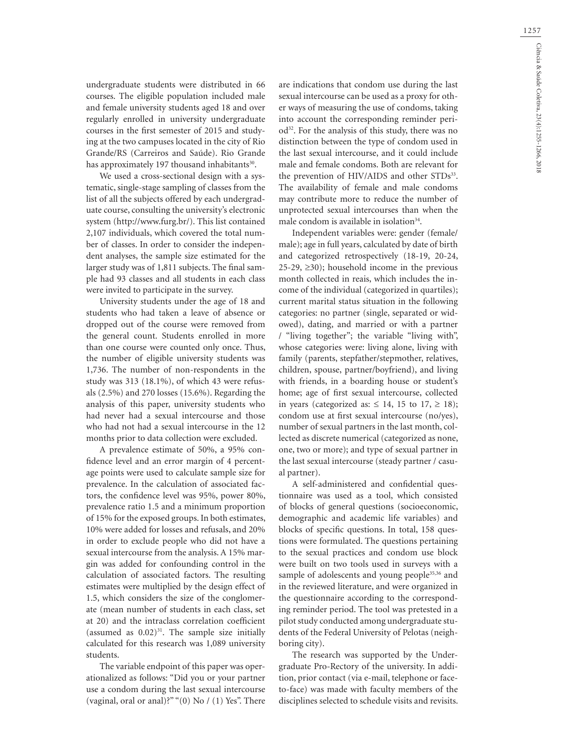1257

undergraduate students were distributed in 66 courses. The eligible population included male and female university students aged 18 and over regularly enrolled in university undergraduate courses in the first semester of 2015 and studying at the two campuses located in the city of Rio Grande/RS (Carreiros and Saúde). Rio Grande has approximately 197 thousand inhabitants<sup>30</sup>.

We used a cross-sectional design with a systematic, single-stage sampling of classes from the list of all the subjects offered by each undergraduate course, consulting the university's electronic system (http://www.furg.br/). This list contained 2,107 individuals, which covered the total number of classes. In order to consider the independent analyses, the sample size estimated for the larger study was of 1,811 subjects. The final sample had 93 classes and all students in each class were invited to participate in the survey.

University students under the age of 18 and students who had taken a leave of absence or dropped out of the course were removed from the general count. Students enrolled in more than one course were counted only once. Thus, the number of eligible university students was 1,736. The number of non-respondents in the study was 313 (18.1%), of which 43 were refusals (2.5%) and 270 losses (15.6%). Regarding the analysis of this paper, university students who had never had a sexual intercourse and those who had not had a sexual intercourse in the 12 months prior to data collection were excluded.

A prevalence estimate of 50%, a 95% confidence level and an error margin of 4 percentage points were used to calculate sample size for prevalence. In the calculation of associated factors, the confidence level was 95%, power 80%, prevalence ratio 1.5 and a minimum proportion of 15% for the exposed groups. In both estimates, 10% were added for losses and refusals, and 20% in order to exclude people who did not have a sexual intercourse from the analysis. A 15% margin was added for confounding control in the calculation of associated factors. The resulting estimates were multiplied by the design effect of 1.5, which considers the size of the conglomerate (mean number of students in each class, set at 20) and the intraclass correlation coefficient (assumed as  $0.02$ )<sup>31</sup>. The sample size initially calculated for this research was 1,089 university students.

The variable endpoint of this paper was operationalized as follows: "Did you or your partner use a condom during the last sexual intercourse (vaginal, oral or anal)?" "(0) No / (1) Yes". There are indications that condom use during the last sexual intercourse can be used as a proxy for other ways of measuring the use of condoms, taking into account the corresponding reminder period<sup>32</sup>. For the analysis of this study, there was no distinction between the type of condom used in the last sexual intercourse, and it could include male and female condoms. Both are relevant for the prevention of HIV/AIDS and other STDs<sup>33</sup>. The availability of female and male condoms may contribute more to reduce the number of unprotected sexual intercourses than when the male condom is available in isolation<sup>34</sup>.

Independent variables were: gender (female/ male); age in full years, calculated by date of birth and categorized retrospectively (18-19, 20-24, 25-29,  $\geq$ 30); household income in the previous month collected in reais, which includes the income of the individual (categorized in quartiles); current marital status situation in the following categories: no partner (single, separated or widowed), dating, and married or with a partner / "living together"; the variable "living with", whose categories were: living alone, living with family (parents, stepfather/stepmother, relatives, children, spouse, partner/boyfriend), and living with friends, in a boarding house or student's home; age of first sexual intercourse, collected in years (categorized as:  $\leq$  14, 15 to 17,  $\geq$  18); condom use at first sexual intercourse (no/yes), number of sexual partners in the last month, collected as discrete numerical (categorized as none, one, two or more); and type of sexual partner in the last sexual intercourse (steady partner / casual partner).

A self-administered and confidential questionnaire was used as a tool, which consisted of blocks of general questions (socioeconomic, demographic and academic life variables) and blocks of specific questions. In total, 158 questions were formulated. The questions pertaining to the sexual practices and condom use block were built on two tools used in surveys with a sample of adolescents and young people<sup>35,36</sup> and in the reviewed literature, and were organized in the questionnaire according to the corresponding reminder period. The tool was pretested in a pilot study conducted among undergraduate students of the Federal University of Pelotas (neighboring city).

The research was supported by the Undergraduate Pro-Rectory of the university. In addition, prior contact (via e-mail, telephone or faceto-face) was made with faculty members of the disciplines selected to schedule visits and revisits.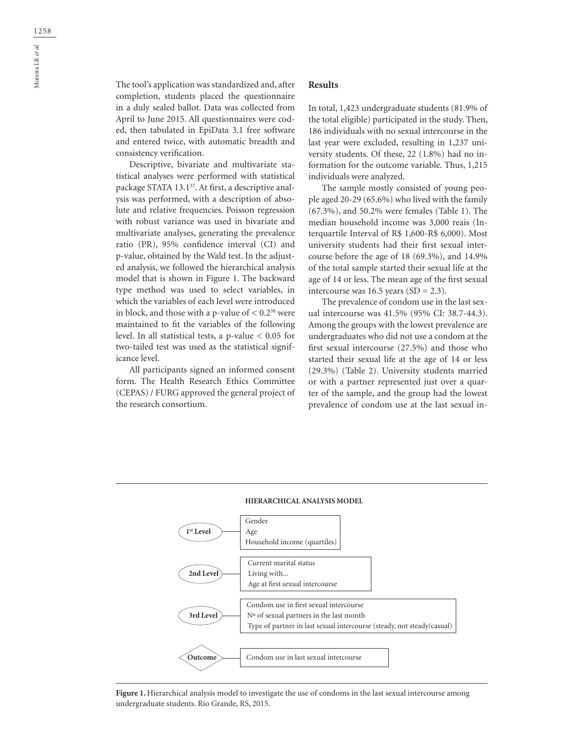The tool's application was standardized and, after completion, students placed the questionnaire in a duly sealed ballot. Data was collected from April to June 2015. All questionnaires were coded, then tabulated in EpiData 3.1 free software and entered twice, with automatic breadth and consistency verification.

Descriptive, bivariate and multivariate statistical analyses were performed with statistical package STATA 13.1<sup>37</sup>. At first, a descriptive analysis was performed, with a description of absolute and relative frequencies. Poisson regression with robust variance was used in bivariate and multivariate analyses, generating the prevalence ratio (PR), 95% confidence interval (CI) and p-value, obtained by the Wald test. In the adjusted analysis, we followed the hierarchical analysis model that is shown in Figure 1. The backward type method was used to select variables, in which the variables of each level were introduced in block, and those with a p-value of  $< 0.2^{38}$  were maintained to fit the variables of the following level. In all statistical tests, a p-value < 0.05 for two-tailed test was used as the statistical significance level.

All participants signed an informed consent form. The Health Research Ethics Committee (CEPAS) / FURG approved the general project of the research consortium.

## **Results**

In total, 1,423 undergraduate students (81.9% of the total eligible) participated in the study. Then, 186 individuals with no sexual intercourse in the last year were excluded, resulting in 1,237 university students. Of these, 22 (1.8%) had no information for the outcome variable. Thus, 1,215 individuals were analyzed.

The sample mostly consisted of young people aged 20-29 (65.6%) who lived with the family (67.3%), and 50.2% were females (Table 1). The median household income was 3,000 reais (Interquartile Interval of R\$ 1,600-R\$ 6,000). Most university students had their first sexual intercourse before the age of 18 (69.3%), and 14.9% of the total sample started their sexual life at the age of 14 or less. The mean age of the first sexual intercourse was 16.5 years  $(SD = 2.3)$ .

The prevalence of condom use in the last sexual intercourse was 41.5% (95% CI: 38.7-44.3). Among the groups with the lowest prevalence are undergraduates who did not use a condom at the first sexual intercourse (27.5%) and those who started their sexual life at the age of 14 or less (29.3%) (Table 2). University students married or with a partner represented just over a quarter of the sample, and the group had the lowest prevalence of condom use at the last sexual in-



**Figure 1.** Hierarchical analysis model to investigate the use of condoms in the last sexual intercourse among undergraduate students. Rio Grande, RS, 2015.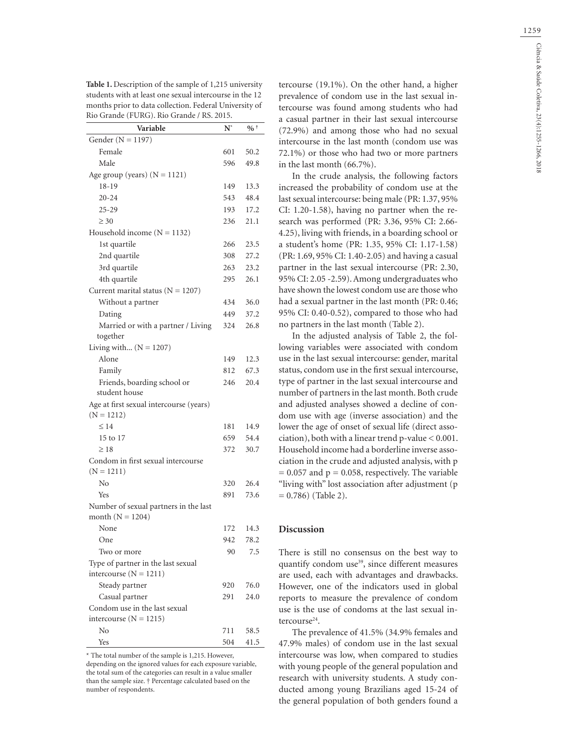| Table 1. Description of the sample of 1,215 university  |
|---------------------------------------------------------|
| students with at least one sexual intercourse in the 12 |
| months prior to data collection. Federal University of  |
| Rio Grande (FURG). Rio Grande / RS. 2015.               |

| Variable                                                    | $\mathbf{N}^*$ | $%$ $*$ |
|-------------------------------------------------------------|----------------|---------|
| Gender ( $N = 1197$ )                                       |                |         |
| Female                                                      | 601            | 50.2    |
| Male                                                        | 596            | 49.8    |
| Age group (years) $(N = 1121)$                              |                |         |
| 18-19                                                       | 149            | 13.3    |
| $20 - 24$                                                   | 543            | 48.4    |
| $25 - 29$                                                   | 193            | 17.2    |
| $\geq 30$                                                   | 236            | 21.1    |
| Household income $(N = 1132)$                               |                |         |
| 1st quartile                                                | 266            | 23.5    |
| 2nd quartile                                                | 308            | 27.2    |
| 3rd quartile                                                | 263            | 23.2    |
| 4th quartile                                                | 295            | 26.1    |
| Current marital status ( $N = 1207$ )                       |                |         |
| Without a partner                                           | 434            | 36.0    |
| Dating                                                      | 449            | 37.2    |
| Married or with a partner / Living                          | 324            | 26.8    |
| together                                                    |                |         |
| Living with $(N = 1207)$                                    |                |         |
| Alone                                                       | 149            | 12.3    |
| Family                                                      | 812            | 67.3    |
| Friends, boarding school or                                 | 246            | 20.4    |
| student house                                               |                |         |
| Age at first sexual intercourse (years)                     |                |         |
| $(N = 1212)$                                                |                |         |
| $\leq 14$                                                   | 181            | 14.9    |
| 15 to 17                                                    | 659            | 54.4    |
| $\geq 18$                                                   | 372            | 30.7    |
| Condom in first sexual intercourse                          |                |         |
| $(N = 1211)$                                                |                |         |
| No                                                          | 320            | 26.4    |
| Yes                                                         | 891            | 73.6    |
| Number of sexual partners in the last<br>month $(N = 1204)$ |                |         |
| None                                                        | 172            | 14.3    |
| One                                                         | 942            | 78.2    |
| Two or more                                                 | 90             | 7.5     |
| Type of partner in the last sexual                          |                |         |
| intercourse $(N = 1211)$                                    |                |         |
| Steady partner                                              | 920            | 76.0    |
| Casual partner                                              | 291            | 24.0    |
| Condom use in the last sexual                               |                |         |
| intercourse $(N = 1215)$                                    |                |         |
| No                                                          | 711            | 58.5    |
| Yes                                                         | 504            | 41.5    |

\* The total number of the sample is 1,215. However, depending on the ignored values for each exposure variable, the total sum of the categories can result in a value smaller than the sample size. † Percentage calculated based on the number of respondents.

tercourse (19.1%). On the other hand, a higher prevalence of condom use in the last sexual intercourse was found among students who had a casual partner in their last sexual intercourse (72.9%) and among those who had no sexual intercourse in the last month (condom use was 72.1%) or those who had two or more partners in the last month (66.7%).

In the crude analysis, the following factors increased the probability of condom use at the last sexual intercourse: being male (PR: 1.37, 95% CI: 1.20-1.58), having no partner when the research was performed (PR: 3.36, 95% CI: 2.66- 4.25), living with friends, in a boarding school or a student's home (PR: 1.35, 95% CI: 1.17-1.58) (PR: 1.69, 95% CI: 1.40-2.05) and having a casual partner in the last sexual intercourse (PR: 2.30, 95% CI: 2.05 -2.59). Among undergraduates who have shown the lowest condom use are those who had a sexual partner in the last month (PR: 0.46; 95% CI: 0.40-0.52), compared to those who had no partners in the last month (Table 2).

In the adjusted analysis of Table 2, the following variables were associated with condom use in the last sexual intercourse: gender, marital status, condom use in the first sexual intercourse, type of partner in the last sexual intercourse and number of partners in the last month. Both crude and adjusted analyses showed a decline of condom use with age (inverse association) and the lower the age of onset of sexual life (direct association), both with a linear trend p-value < 0.001. Household income had a borderline inverse association in the crude and adjusted analysis, with p  $= 0.057$  and  $p = 0.058$ , respectively. The variable "living with" lost association after adjustment (p  $= 0.786$ ) (Table 2).

#### **Discussion**

There is still no consensus on the best way to quantify condom use<sup>39</sup>, since different measures are used, each with advantages and drawbacks. However, one of the indicators used in global reports to measure the prevalence of condom use is the use of condoms at the last sexual intercourse<sup>24</sup>.

The prevalence of 41.5% (34.9% females and 47.9% males) of condom use in the last sexual intercourse was low, when compared to studies with young people of the general population and research with university students. A study conducted among young Brazilians aged 15-24 of the general population of both genders found a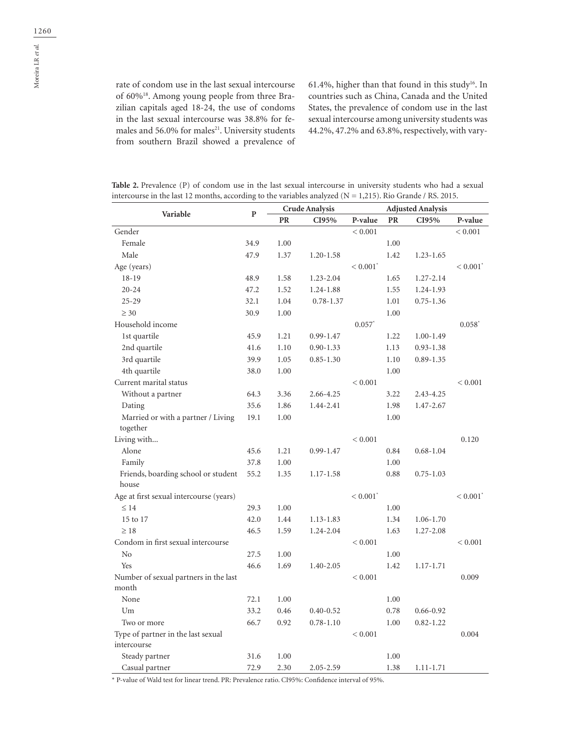61.4%, higher than that found in this study<sup>16</sup>. In countries such as China, Canada and the United States, the prevalence of condom use in the last sexual intercourse among university students was 44.2%, 47.2% and 63.8%, respectively, with vary-

| Table 2. Prevalence (P) of condom use in the last sexual intercourse in university students who had a sexual   |  |
|----------------------------------------------------------------------------------------------------------------|--|
| intercourse in the last 12 months, according to the variables analyzed ( $N = 1,215$ ). Rio Grande / RS. 2015. |  |

|                                                | ${\bf P}$ | <b>Crude Analysis</b> |               | <b>Adjusted Analysis</b> |      |               |                        |
|------------------------------------------------|-----------|-----------------------|---------------|--------------------------|------|---------------|------------------------|
| Variable                                       |           | PR                    | CI95%         | P-value                  | PR   | CI95%         | P-value                |
| Gender                                         |           |                       |               | < 0.001                  |      |               | < 0.001                |
| Female                                         | 34.9      | 1.00                  |               |                          | 1.00 |               |                        |
| Male                                           | 47.9      | 1.37                  | $1.20 - 1.58$ |                          | 1.42 | 1.23-1.65     |                        |
| Age (years)                                    |           |                       |               | $< 0.001$ <sup>*</sup>   |      |               | $< 0.001$ <sup>*</sup> |
| $18 - 19$                                      | 48.9      | 1.58                  | 1.23-2.04     |                          | 1.65 | 1.27-2.14     |                        |
| $20 - 24$                                      | 47.2      | 1.52                  | 1.24-1.88     |                          | 1.55 | 1.24-1.93     |                        |
| $25 - 29$                                      | 32.1      | 1.04                  | $0.78 - 1.37$ |                          | 1.01 | $0.75 - 1.36$ |                        |
| $\geq 30$                                      | 30.9      | 1.00                  |               |                          | 1.00 |               |                        |
| Household income                               |           |                       |               | $0.057$ <sup>*</sup>     |      |               | $0.058*$               |
| 1st quartile                                   | 45.9      | 1.21                  | $0.99 - 1.47$ |                          | 1.22 | $1.00 - 1.49$ |                        |
| 2nd quartile                                   | 41.6      | 1.10                  | $0.90 - 1.33$ |                          | 1.13 | $0.93 - 1.38$ |                        |
| 3rd quartile                                   | 39.9      | 1.05                  | $0.85 - 1.30$ |                          | 1.10 | $0.89 - 1.35$ |                        |
| 4th quartile                                   | 38.0      | 1.00                  |               |                          | 1.00 |               |                        |
| Current marital status                         |           |                       |               | < 0.001                  |      |               | < 0.001                |
| Without a partner                              | 64.3      | 3.36                  | 2.66-4.25     |                          | 3.22 | 2.43-4.25     |                        |
| Dating                                         | 35.6      | 1.86                  | 1.44-2.41     |                          | 1.98 | 1.47-2.67     |                        |
| Married or with a partner / Living             | 19.1      | 1.00                  |               |                          | 1.00 |               |                        |
| together                                       |           |                       |               |                          |      |               |                        |
| Living with                                    |           |                       |               | < 0.001                  |      |               | 0.120                  |
| Alone                                          | 45.6      | 1.21                  | $0.99 - 1.47$ |                          | 0.84 | $0.68 - 1.04$ |                        |
| Family                                         | 37.8      | 1.00                  |               |                          | 1.00 |               |                        |
| Friends, boarding school or student<br>house   | 55.2      | 1.35                  | 1.17-1.58     |                          | 0.88 | $0.75 - 1.03$ |                        |
| Age at first sexual intercourse (years)        |           |                       |               | $< 0.001$ <sup>*</sup>   |      |               | $< 0.001$ <sup>*</sup> |
| $\leq 14$                                      | 29.3      | 1.00                  |               |                          | 1.00 |               |                        |
| 15 to 17                                       | 42.0      | 1.44                  | 1.13-1.83     |                          | 1.34 | 1.06-1.70     |                        |
| $\geq 18$                                      | 46.5      | 1.59                  | 1.24-2.04     |                          | 1.63 | 1.27-2.08     |                        |
| Condom in first sexual intercourse             |           |                       |               | < 0.001                  |      |               | < 0.001                |
| N <sub>o</sub>                                 | 27.5      | 1.00                  |               |                          | 1.00 |               |                        |
| Yes                                            | 46.6      | 1.69                  | 1.40-2.05     |                          | 1.42 | 1.17-1.71     |                        |
| Number of sexual partners in the last<br>month |           |                       |               | < 0.001                  |      |               | 0.009                  |
| None                                           | 72.1      | 1.00                  |               |                          | 1.00 |               |                        |
| Um                                             | 33.2      | 0.46                  | $0.40 - 0.52$ |                          | 0.78 | $0.66 - 0.92$ |                        |
| Two or more                                    | 66.7      | 0.92                  | $0.78 - 1.10$ |                          | 1.00 | $0.82 - 1.22$ |                        |
| Type of partner in the last sexual             |           |                       |               | < 0.001                  |      |               | 0.004                  |
| intercourse                                    |           |                       |               |                          |      |               |                        |
| Steady partner                                 | 31.6      | 1.00                  |               |                          | 1.00 |               |                        |
| Casual partner                                 | 72.9      | 2.30                  | 2.05-2.59     |                          | 1.38 | $1.11 - 1.71$ |                        |

\* P-value of Wald test for linear trend. PR: Prevalence ratio. CI95%: Confidence interval of 95%.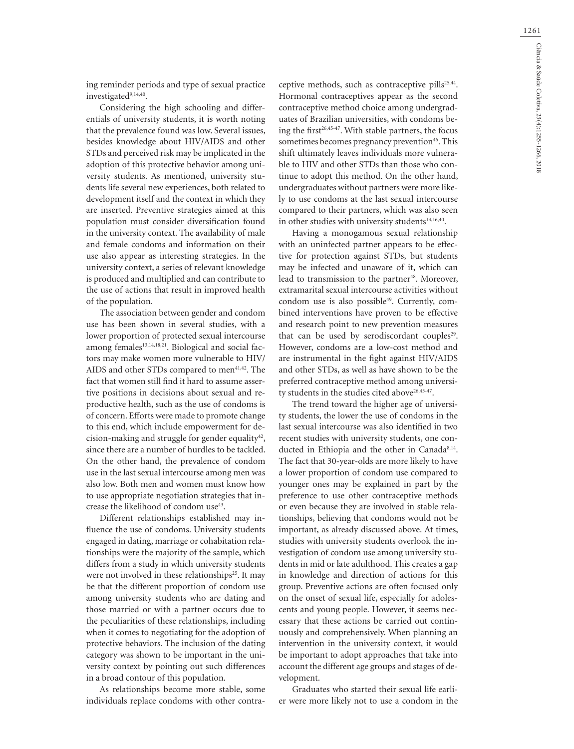ing reminder periods and type of sexual practice investigated<sup>9,14,40</sup>.

Considering the high schooling and differentials of university students, it is worth noting that the prevalence found was low. Several issues, besides knowledge about HIV/AIDS and other STDs and perceived risk may be implicated in the adoption of this protective behavior among university students. As mentioned, university students life several new experiences, both related to development itself and the context in which they are inserted. Preventive strategies aimed at this population must consider diversification found in the university context. The availability of male and female condoms and information on their use also appear as interesting strategies. In the university context, a series of relevant knowledge is produced and multiplied and can contribute to the use of actions that result in improved health of the population.

The association between gender and condom use has been shown in several studies, with a lower proportion of protected sexual intercourse among females<sup>13,14,18,21</sup>. Biological and social factors may make women more vulnerable to HIV/ AIDS and other STDs compared to men<sup>41,42</sup>. The fact that women still find it hard to assume assertive positions in decisions about sexual and reproductive health, such as the use of condoms is of concern. Efforts were made to promote change to this end, which include empowerment for decision-making and struggle for gender equality<sup>42</sup>, since there are a number of hurdles to be tackled. On the other hand, the prevalence of condom use in the last sexual intercourse among men was also low. Both men and women must know how to use appropriate negotiation strategies that increase the likelihood of condom use<sup>43</sup>.

Different relationships established may influence the use of condoms. University students engaged in dating, marriage or cohabitation relationships were the majority of the sample, which differs from a study in which university students were not involved in these relationships<sup>25</sup>. It may be that the different proportion of condom use among university students who are dating and those married or with a partner occurs due to the peculiarities of these relationships, including when it comes to negotiating for the adoption of protective behaviors. The inclusion of the dating category was shown to be important in the university context by pointing out such differences in a broad contour of this population.

As relationships become more stable, some individuals replace condoms with other contra-

ceptive methods, such as contraceptive pills<sup>25,44</sup>. Hormonal contraceptives appear as the second contraceptive method choice among undergraduates of Brazilian universities, with condoms being the first<sup>26,45-47</sup>. With stable partners, the focus sometimes becomes pregnancy prevention<sup>46</sup>. This shift ultimately leaves individuals more vulnerable to HIV and other STDs than those who continue to adopt this method. On the other hand, undergraduates without partners were more likely to use condoms at the last sexual intercourse compared to their partners, which was also seen in other studies with university students<sup>14,16,40</sup>.

Having a monogamous sexual relationship with an uninfected partner appears to be effective for protection against STDs, but students may be infected and unaware of it, which can lead to transmission to the partner<sup>48</sup>. Moreover, extramarital sexual intercourse activities without condom use is also possible<sup>49</sup>. Currently, combined interventions have proven to be effective and research point to new prevention measures that can be used by serodiscordant couples<sup>29</sup>. However, condoms are a low-cost method and are instrumental in the fight against HIV/AIDS and other STDs, as well as have shown to be the preferred contraceptive method among university students in the studies cited above<sup>26,45-47</sup>.

The trend toward the higher age of university students, the lower the use of condoms in the last sexual intercourse was also identified in two recent studies with university students, one conducted in Ethiopia and the other in Canada<sup>8,14</sup>. The fact that 30-year-olds are more likely to have a lower proportion of condom use compared to younger ones may be explained in part by the preference to use other contraceptive methods or even because they are involved in stable relationships, believing that condoms would not be important, as already discussed above. At times, studies with university students overlook the investigation of condom use among university students in mid or late adulthood. This creates a gap in knowledge and direction of actions for this group. Preventive actions are often focused only on the onset of sexual life, especially for adolescents and young people. However, it seems necessary that these actions be carried out continuously and comprehensively. When planning an intervention in the university context, it would be important to adopt approaches that take into account the different age groups and stages of development.

Graduates who started their sexual life earlier were more likely not to use a condom in the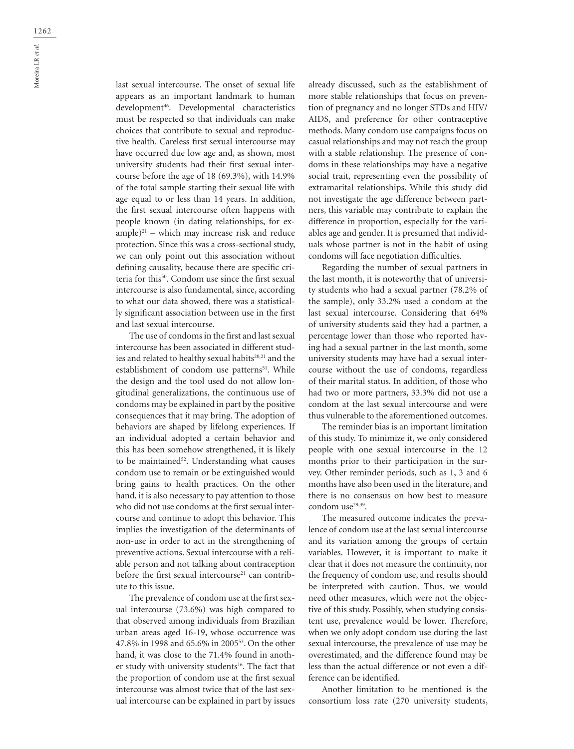last sexual intercourse. The onset of sexual life appears as an important landmark to human development46. Developmental characteristics must be respected so that individuals can make choices that contribute to sexual and reproductive health. Careless first sexual intercourse may have occurred due low age and, as shown, most university students had their first sexual intercourse before the age of 18 (69.3%), with 14.9% of the total sample starting their sexual life with age equal to or less than 14 years. In addition, the first sexual intercourse often happens with people known (in dating relationships, for ex $ample)^{21}$  – which may increase risk and reduce protection. Since this was a cross-sectional study, we can only point out this association without defining causality, because there are specific criteria for this50. Condom use since the first sexual intercourse is also fundamental, since, according to what our data showed, there was a statistically significant association between use in the first and last sexual intercourse.

The use of condoms in the first and last sexual intercourse has been associated in different studies and related to healthy sexual habits<sup>20,21</sup> and the establishment of condom use patterns<sup>51</sup>. While the design and the tool used do not allow longitudinal generalizations, the continuous use of condoms may be explained in part by the positive consequences that it may bring. The adoption of behaviors are shaped by lifelong experiences. If an individual adopted a certain behavior and this has been somehow strengthened, it is likely to be maintained<sup>52</sup>. Understanding what causes condom use to remain or be extinguished would bring gains to health practices. On the other hand, it is also necessary to pay attention to those who did not use condoms at the first sexual intercourse and continue to adopt this behavior. This implies the investigation of the determinants of non-use in order to act in the strengthening of preventive actions. Sexual intercourse with a reliable person and not talking about contraception before the first sexual intercourse<sup>21</sup> can contribute to this issue.

The prevalence of condom use at the first sexual intercourse (73.6%) was high compared to that observed among individuals from Brazilian urban areas aged 16-19, whose occurrence was 47.8% in 1998 and 65.6% in 200553. On the other hand, it was close to the 71.4% found in another study with university students<sup>16</sup>. The fact that the proportion of condom use at the first sexual intercourse was almost twice that of the last sexual intercourse can be explained in part by issues

already discussed, such as the establishment of more stable relationships that focus on prevention of pregnancy and no longer STDs and HIV/ AIDS, and preference for other contraceptive methods. Many condom use campaigns focus on casual relationships and may not reach the group with a stable relationship. The presence of condoms in these relationships may have a negative social trait, representing even the possibility of extramarital relationships. While this study did not investigate the age difference between partners, this variable may contribute to explain the difference in proportion, especially for the variables age and gender. It is presumed that individuals whose partner is not in the habit of using condoms will face negotiation difficulties.

Regarding the number of sexual partners in the last month, it is noteworthy that of university students who had a sexual partner (78.2% of the sample), only 33.2% used a condom at the last sexual intercourse. Considering that 64% of university students said they had a partner, a percentage lower than those who reported having had a sexual partner in the last month, some university students may have had a sexual intercourse without the use of condoms, regardless of their marital status. In addition, of those who had two or more partners, 33.3% did not use a condom at the last sexual intercourse and were thus vulnerable to the aforementioned outcomes.

The reminder bias is an important limitation of this study. To minimize it, we only considered people with one sexual intercourse in the 12 months prior to their participation in the survey. Other reminder periods, such as 1, 3 and 6 months have also been used in the literature, and there is no consensus on how best to measure condom use<sup>29,39</sup>.

The measured outcome indicates the prevalence of condom use at the last sexual intercourse and its variation among the groups of certain variables. However, it is important to make it clear that it does not measure the continuity, nor the frequency of condom use, and results should be interpreted with caution. Thus, we would need other measures, which were not the objective of this study. Possibly, when studying consistent use, prevalence would be lower. Therefore, when we only adopt condom use during the last sexual intercourse, the prevalence of use may be overestimated, and the difference found may be less than the actual difference or not even a difference can be identified.

Another limitation to be mentioned is the consortium loss rate (270 university students,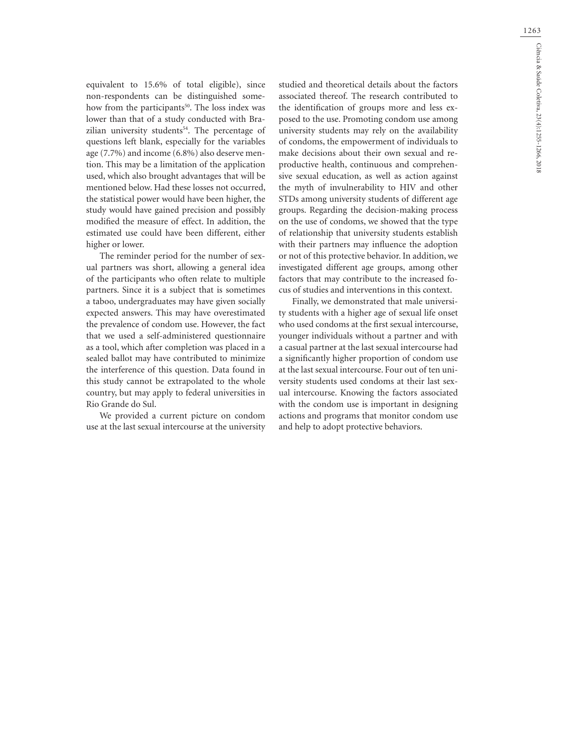equivalent to 15.6% of total eligible), since non-respondents can be distinguished somehow from the participants<sup>50</sup>. The loss index was lower than that of a study conducted with Brazilian university students<sup>54</sup>. The percentage of questions left blank, especially for the variables age (7.7%) and income (6.8%) also deserve mention. This may be a limitation of the application used, which also brought advantages that will be mentioned below. Had these losses not occurred, the statistical power would have been higher, the study would have gained precision and possibly modified the measure of effect. In addition, the estimated use could have been different, either higher or lower.

The reminder period for the number of sexual partners was short, allowing a general idea of the participants who often relate to multiple partners. Since it is a subject that is sometimes a taboo, undergraduates may have given socially expected answers. This may have overestimated the prevalence of condom use. However, the fact that we used a self-administered questionnaire as a tool, which after completion was placed in a sealed ballot may have contributed to minimize the interference of this question. Data found in this study cannot be extrapolated to the whole country, but may apply to federal universities in Rio Grande do Sul.

We provided a current picture on condom use at the last sexual intercourse at the university

studied and theoretical details about the factors associated thereof. The research contributed to the identification of groups more and less exposed to the use. Promoting condom use among university students may rely on the availability of condoms, the empowerment of individuals to make decisions about their own sexual and reproductive health, continuous and comprehensive sexual education, as well as action against the myth of invulnerability to HIV and other STDs among university students of different age groups. Regarding the decision-making process on the use of condoms, we showed that the type of relationship that university students establish with their partners may influence the adoption or not of this protective behavior. In addition, we investigated different age groups, among other factors that may contribute to the increased focus of studies and interventions in this context.

Finally, we demonstrated that male university students with a higher age of sexual life onset who used condoms at the first sexual intercourse, younger individuals without a partner and with a casual partner at the last sexual intercourse had a significantly higher proportion of condom use at the last sexual intercourse. Four out of ten university students used condoms at their last sexual intercourse. Knowing the factors associated with the condom use is important in designing actions and programs that monitor condom use and help to adopt protective behaviors.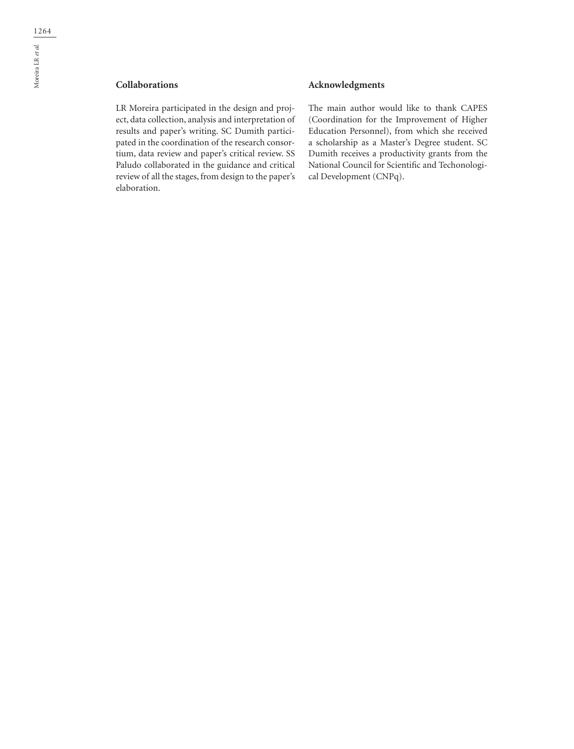## **Collaborations**

LR Moreira participated in the design and project, data collection, analysis and interpretation of results and paper's writing. SC Dumith participated in the coordination of the research consortium, data review and paper's critical review. SS Paludo collaborated in the guidance and critical review of all the stages, from design to the paper's elaboration.

### **Acknowledgments**

The main author would like to thank CAPES (Coordination for the Improvement of Higher Education Personnel), from which she received a scholarship as a Master's Degree student. SC Dumith receives a productivity grants from the National Council for Scientific and Techonological Development (CNPq).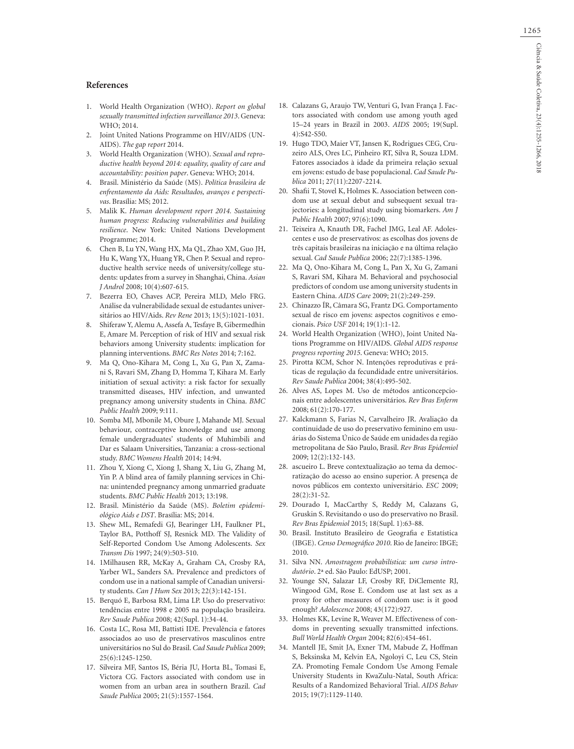#### **References**

- 1. World Health Organization (WHO). *Report on global sexually transmitted infection surveillance 2013*. Geneva: WHO; 2014.
- 2. Joint United Nations Programme on HIV/AIDS (UN-AIDS). *The gap report* 2014.
- 3. World Health Organization (WHO). *Sexual and reproductive health beyond 2014: equality, quality of care and accountability: position paper*. Geneva: WHO; 2014.
- 4. Brasil. Ministério da Saúde (MS). *Política brasileira de enfrentamento da Aids: Resultados, avanços e perspectivas*. Brasília: MS; 2012.
- 5. Malik K. *Human development report 2014. Sustaining human progress: Reducing vulnerabilities and building resilience*. New York: United Nations Development Programme; 2014.
- 6. Chen B, Lu YN, Wang HX, Ma QL, Zhao XM, Guo JH, Hu K, Wang YX, Huang YR, Chen P. Sexual and reproductive health service needs of university/college students: updates from a survey in Shanghai, China. *Asian J Androl* 2008; 10(4):607-615.
- 7. Bezerra EO, Chaves ACP, Pereira MLD, Melo FRG. Análise da vulnerabilidade sexual de estudantes universitários ao HIV/Aids. *Rev Rene* 2013; 13(5):1021-1031.
- 8. Shiferaw Y, Alemu A, Assefa A, Tesfaye B, Gibermedhin E, Amare M. Perception of risk of HIV and sexual risk behaviors among University students: implication for planning interventions. *BMC Res Notes* 2014; 7:162.
- 9. Ma Q, Ono-Kihara M, Cong L, Xu G, Pan X, Zamani S, Ravari SM, Zhang D, Homma T, Kihara M. Early initiation of sexual activity: a risk factor for sexually transmitted diseases, HIV infection, and unwanted pregnancy among university students in China. *BMC Public Health* 2009; 9:111.
- 10. Somba MJ, Mbonile M, Obure J, Mahande MJ. Sexual behaviour, contraceptive knowledge and use among female undergraduates' students of Muhimbili and Dar es Salaam Universities, Tanzania: a cross-sectional study. *BMC Womens Health* 2014; 14:94.
- 11. Zhou Y, Xiong C, Xiong J, Shang X, Liu G, Zhang M, Yin P. A blind area of family planning services in China: unintended pregnancy among unmarried graduate students. *BMC Public Health* 2013; 13:198.
- 12. Brasil. Ministério da Saúde (MS). *Boletim epidemiológico Aids e DST*. Brasília: MS; 2014.
- 13. Shew ML, Remafedi GJ, Bearinger LH, Faulkner PL, Taylor BA, Potthoff SJ, Resnick MD. The Validity of Self-Reported Condom Use Among Adolescents. *Sex Transm Dis* 1997; 24(9):503-510.
- 14. 1Milhausen RR, McKay A, Graham CA, Crosby RA, Yarber WL, Sanders SA. Prevalence and predictors of condom use in a national sample of Canadian university students. *Can J Hum Sex* 2013; 22(3):142-151.
- 15. Berquó E, Barbosa RM, Lima LP. Uso do preservativo: tendências entre 1998 e 2005 na população brasileira. *Rev Saude Publica* 2008; 42(Supl. 1):34-44.
- 16. Costa LC, Rosa MI, Battisti IDE. Prevalência e fatores associados ao uso de preservativos masculinos entre universitários no Sul do Brasil. *Cad Saude Publica* 2009; 25(6):1245-1250.
- 17. Silveira MF, Santos IS, Béria JU, Horta BL, Tomasi E, Victora CG. Factors associated with condom use in women from an urban area in southern Brazil. *Cad Saude Publica* 2005; 21(5):1557-1564.
- 18. Calazans G, Araujo TW, Venturi G, Ivan França J. Factors associated with condom use among youth aged 15–24 years in Brazil in 2003. *AIDS* 2005; 19(Supl. 4):S42-S50.
- 19. Hugo TDO, Maier VT, Jansen K, Rodrigues CEG, Cruzeiro ALS, Ores LC, Pinheiro RT, Silva R, Souza LDM. Fatores associados à idade da primeira relação sexual em jovens: estudo de base populacional. *Cad Saude Publica* 2011; 27(11):2207-2214.
- 20. Shafii T, Stovel K, Holmes K. Association between condom use at sexual debut and subsequent sexual trajectories: a longitudinal study using biomarkers. *Am J Public Health* 2007; 97(6):1090.
- 21. Teixeira A, Knauth DR, Fachel JMG, Leal AF. Adolescentes e uso de preservativos: as escolhas dos jovens de três capitais brasileiras na iniciação e na última relação sexual. *Cad Saude Publica* 2006; 22(7):1385-1396.
- 22. Ma Q, Ono-Kihara M, Cong L, Pan X, Xu G, Zamani S, Ravari SM, Kihara M. Behavioral and psychosocial predictors of condom use among university students in Eastern China. *AIDS Care* 2009; 21(2):249-259.
- 23. Chinazzo ÍR, Câmara SG, Frantz DG. Comportamento sexual de risco em jovens: aspectos cognitivos e emocionais. *Psico USF* 2014; 19(1):1-12.
- 24. World Health Organization (WHO), Joint United Nations Programme on HIV/AIDS. *Global AIDS response progress reporting 2015*. Geneva: WHO; 2015.
- 25. Pirotta KCM, Schor N. Intenções reprodutivas e práticas de regulação da fecundidade entre universitários. *Rev Saude Publica* 2004; 38(4):495-502.
- 26. Alves AS, Lopes M. Uso de métodos anticoncepcionais entre adolescentes universitários. *Rev Bras Enferm* 2008; 61(2):170-177.
- 27. Kalckmann S, Farias N, Carvalheiro JR. Avaliação da continuidade de uso do preservativo feminino em usuárias do Sistema Único de Saúde em unidades da região metropolitana de São Paulo, Brasil. *Rev Bras Epidemiol* 2009; 12(2):132-143.
- 28. ascueiro L. Breve contextualização ao tema da democratização do acesso ao ensino superior. A presença de novos públicos em contexto universitário. *ESC* 2009; 28(2):31-52.
- 29. Dourado I, MacCarthy S, Reddy M, Calazans G, Gruskin S. Revisitando o uso do preservativo no Brasil. *Rev Bras Epidemiol* 2015; 18(Supl. 1):63-88.
- 30. Brasil. Instituto Brasileiro de Geografia e Estatística (IBGE). *Censo Demográfico 2010*. Rio de Janeiro: IBGE; 2010.
- 31. Silva NN. *Amostragem probabilística: um curso introdutório*. 2ª ed. São Paulo: EdUSP; 2001.
- 32. Younge SN, Salazar LF, Crosby RF, DiClemente RJ, Wingood GM, Rose E. Condom use at last sex as a proxy for other measures of condom use: is it good enough? *Adolescence* 2008; 43(172):927.
- 33. Holmes KK, Levine R, Weaver M. Effectiveness of condoms in preventing sexually transmitted infections. *Bull World Health Organ* 2004; 82(6):454-461.
- 34. Mantell JE, Smit JA, Exner TM, Mabude Z, Hoffman S, Beksinska M, Kelvin EA, Ngoloyi C, Leu CS, Stein ZA. Promoting Female Condom Use Among Female University Students in KwaZulu-Natal, South Africa: Results of a Randomized Behavioral Trial. *AIDS Behav*  2015; 19(7):1129-1140.